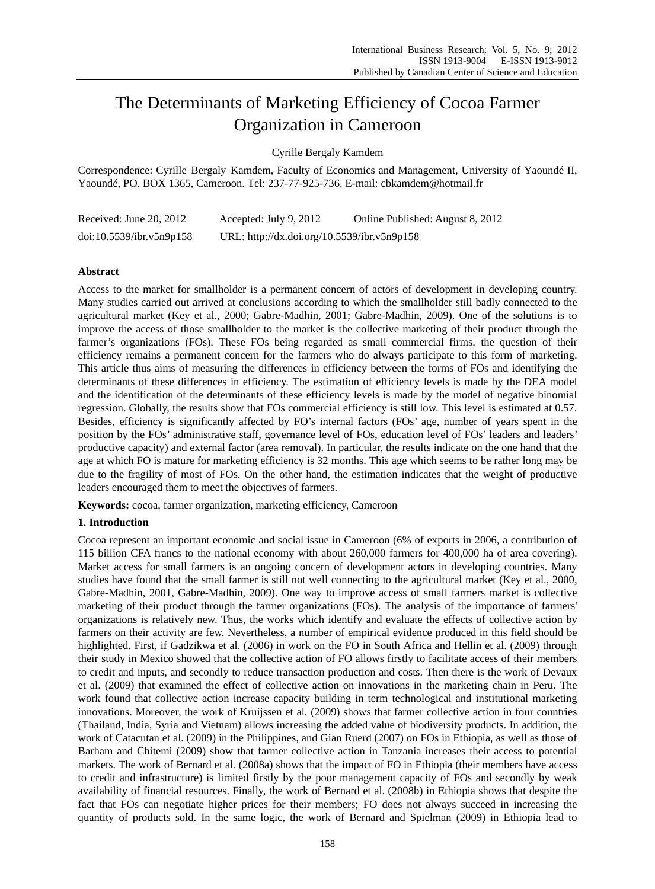# The Determinants of Marketing Efficiency of Cocoa Farmer Organization in Cameroon

Cyrille Bergaly Kamdem

Correspondence: Cyrille Bergaly Kamdem, Faculty of Economics and Management, University of Yaoundé II, Yaoundé, PO. BOX 1365, Cameroon. Tel: 237-77-925-736. E-mail: cbkamdem@hotmail.fr

| Received: June $20$ , $2012$ | Accepted: July 9, 2012                      | Online Published: August 8, 2012 |
|------------------------------|---------------------------------------------|----------------------------------|
| doi:10.5539/ibr.v5n9p158     | URL: http://dx.doi.org/10.5539/ibr.v5n9p158 |                                  |

# **Abstract**

Access to the market for smallholder is a permanent concern of actors of development in developing country. Many studies carried out arrived at conclusions according to which the smallholder still badly connected to the agricultural market (Key et al., 2000; Gabre-Madhin, 2001; Gabre-Madhin, 2009). One of the solutions is to improve the access of those smallholder to the market is the collective marketing of their product through the farmer's organizations (FOs). These FOs being regarded as small commercial firms, the question of their efficiency remains a permanent concern for the farmers who do always participate to this form of marketing. This article thus aims of measuring the differences in efficiency between the forms of FOs and identifying the determinants of these differences in efficiency. The estimation of efficiency levels is made by the DEA model and the identification of the determinants of these efficiency levels is made by the model of negative binomial regression. Globally, the results show that FOs commercial efficiency is still low. This level is estimated at 0.57. Besides, efficiency is significantly affected by FO's internal factors (FOs' age, number of years spent in the position by the FOs' administrative staff, governance level of FOs, education level of FOs' leaders and leaders' productive capacity) and external factor (area removal). In particular, the results indicate on the one hand that the age at which FO is mature for marketing efficiency is 32 months. This age which seems to be rather long may be due to the fragility of most of FOs. On the other hand, the estimation indicates that the weight of productive leaders encouraged them to meet the objectives of farmers.

**Keywords:** cocoa, farmer organization, marketing efficiency, Cameroon

# **1. Introduction**

Cocoa represent an important economic and social issue in Cameroon (6% of exports in 2006, a contribution of 115 billion CFA francs to the national economy with about 260,000 farmers for 400,000 ha of area covering). Market access for small farmers is an ongoing concern of development actors in developing countries. Many studies have found that the small farmer is still not well connecting to the agricultural market (Key et al., 2000, Gabre-Madhin, 2001, Gabre-Madhin, 2009). One way to improve access of small farmers market is collective marketing of their product through the farmer organizations (FOs). The analysis of the importance of farmers' organizations is relatively new. Thus, the works which identify and evaluate the effects of collective action by farmers on their activity are few. Nevertheless, a number of empirical evidence produced in this field should be highlighted. First, if Gadzikwa et al. (2006) in work on the FO in South Africa and Hellin et al. (2009) through their study in Mexico showed that the collective action of FO allows firstly to facilitate access of their members to credit and inputs, and secondly to reduce transaction production and costs. Then there is the work of Devaux et al. (2009) that examined the effect of collective action on innovations in the marketing chain in Peru. The work found that collective action increase capacity building in term technological and institutional marketing innovations. Moreover, the work of Kruijssen et al. (2009) shows that farmer collective action in four countries (Thailand, India, Syria and Vietnam) allows increasing the added value of biodiversity products. In addition, the work of Catacutan et al. (2009) in the Philippines, and Gian Ruerd (2007) on FOs in Ethiopia, as well as those of Barham and Chitemi (2009) show that farmer collective action in Tanzania increases their access to potential markets. The work of Bernard et al. (2008a) shows that the impact of FO in Ethiopia (their members have access to credit and infrastructure) is limited firstly by the poor management capacity of FOs and secondly by weak availability of financial resources. Finally, the work of Bernard et al. (2008b) in Ethiopia shows that despite the fact that FOs can negotiate higher prices for their members; FO does not always succeed in increasing the quantity of products sold. In the same logic, the work of Bernard and Spielman (2009) in Ethiopia lead to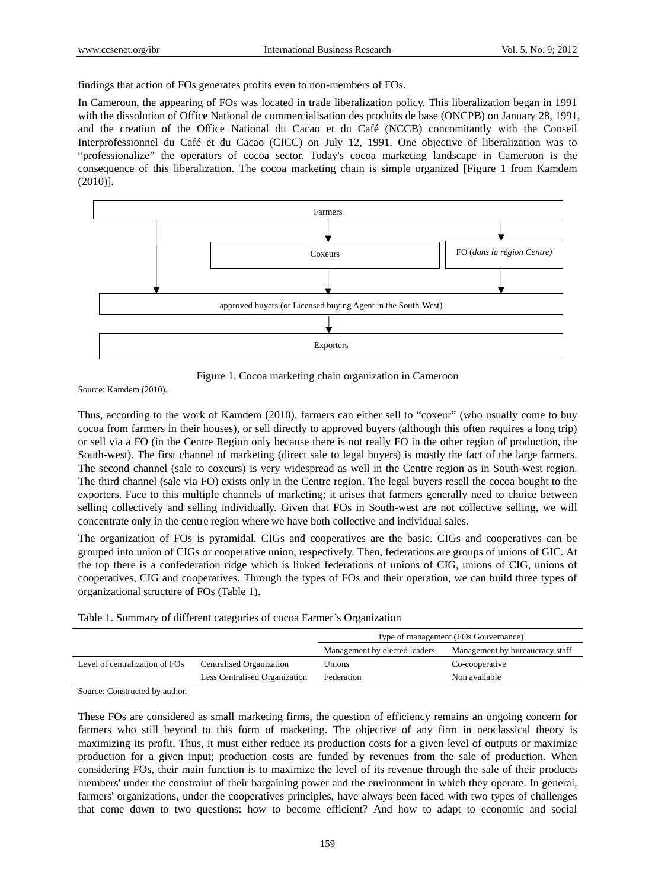findings that action of FOs generates profits even to non-members of FOs.

In Cameroon, the appearing of FOs was located in trade liberalization policy. This liberalization began in 1991 with the dissolution of Office National de commercialisation des produits de base (ONCPB) on January 28, 1991, and the creation of the Office National du Cacao et du Café (NCCB) concomitantly with the Conseil Interprofessionnel du Café et du Cacao (CICC) on July 12, 1991. One objective of liberalization was to "professionalize" the operators of cocoa sector. Today's cocoa marketing landscape in Cameroon is the consequence of this liberalization. The cocoa marketing chain is simple organized [Figure 1 from Kamdem (2010)].



Figure 1. Cocoa marketing chain organization in Cameroon

Source: Kamdem (2010).

Thus, according to the work of Kamdem (2010), farmers can either sell to "coxeur" (who usually come to buy cocoa from farmers in their houses), or sell directly to approved buyers (although this often requires a long trip) or sell via a FO (in the Centre Region only because there is not really FO in the other region of production, the South-west). The first channel of marketing (direct sale to legal buyers) is mostly the fact of the large farmers. The second channel (sale to coxeurs) is very widespread as well in the Centre region as in South-west region. The third channel (sale via FO) exists only in the Centre region. The legal buyers resell the cocoa bought to the exporters. Face to this multiple channels of marketing; it arises that farmers generally need to choice between selling collectively and selling individually. Given that FOs in South-west are not collective selling, we will concentrate only in the centre region where we have both collective and individual sales.

The organization of FOs is pyramidal. CIGs and cooperatives are the basic. CIGs and cooperatives can be grouped into union of CIGs or cooperative union, respectively. Then, federations are groups of unions of GIC. At the top there is a confederation ridge which is linked federations of unions of CIG, unions of CIG, unions of cooperatives, CIG and cooperatives. Through the types of FOs and their operation, we can build three types of organizational structure of FOs (Table 1).

|  |  |  | Table 1. Summary of different categories of cocoa Farmer's Organization |
|--|--|--|-------------------------------------------------------------------------|
|  |  |  |                                                                         |

|                                |                               |                               | Type of management (FOs Gouvernance) |
|--------------------------------|-------------------------------|-------------------------------|--------------------------------------|
|                                |                               | Management by elected leaders | Management by bureaucracy staff      |
| Level of centralization of FOs | Centralised Organization      | Unions                        | Co-cooperative                       |
|                                | Less Centralised Organization | Federation                    | Non available                        |

Source: Constructed by author.

These FOs are considered as small marketing firms, the question of efficiency remains an ongoing concern for farmers who still beyond to this form of marketing. The objective of any firm in neoclassical theory is maximizing its profit. Thus, it must either reduce its production costs for a given level of outputs or maximize production for a given input; production costs are funded by revenues from the sale of production. When considering FOs, their main function is to maximize the level of its revenue through the sale of their products members' under the constraint of their bargaining power and the environment in which they operate. In general, farmers' organizations, under the cooperatives principles, have always been faced with two types of challenges that come down to two questions: how to become efficient? And how to adapt to economic and social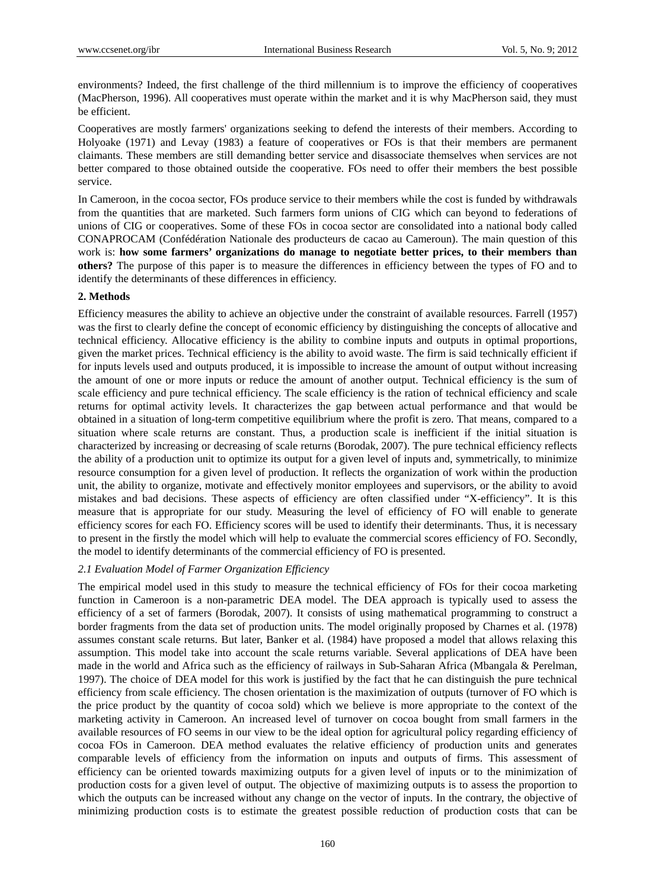environments? Indeed, the first challenge of the third millennium is to improve the efficiency of cooperatives (MacPherson, 1996). All cooperatives must operate within the market and it is why MacPherson said, they must be efficient.

Cooperatives are mostly farmers' organizations seeking to defend the interests of their members. According to Holyoake (1971) and Levay (1983) a feature of cooperatives or FOs is that their members are permanent claimants. These members are still demanding better service and disassociate themselves when services are not better compared to those obtained outside the cooperative. FOs need to offer their members the best possible service.

In Cameroon, in the cocoa sector, FOs produce service to their members while the cost is funded by withdrawals from the quantities that are marketed. Such farmers form unions of CIG which can beyond to federations of unions of CIG or cooperatives. Some of these FOs in cocoa sector are consolidated into a national body called CONAPROCAM (Confédération Nationale des producteurs de cacao au Cameroun). The main question of this work is: **how some farmers' organizations do manage to negotiate better prices, to their members than others?** The purpose of this paper is to measure the differences in efficiency between the types of FO and to identify the determinants of these differences in efficiency.

## **2. Methods**

Efficiency measures the ability to achieve an objective under the constraint of available resources. Farrell (1957) was the first to clearly define the concept of economic efficiency by distinguishing the concepts of allocative and technical efficiency. Allocative efficiency is the ability to combine inputs and outputs in optimal proportions, given the market prices. Technical efficiency is the ability to avoid waste. The firm is said technically efficient if for inputs levels used and outputs produced, it is impossible to increase the amount of output without increasing the amount of one or more inputs or reduce the amount of another output. Technical efficiency is the sum of scale efficiency and pure technical efficiency. The scale efficiency is the ration of technical efficiency and scale returns for optimal activity levels. It characterizes the gap between actual performance and that would be obtained in a situation of long-term competitive equilibrium where the profit is zero. That means, compared to a situation where scale returns are constant. Thus, a production scale is inefficient if the initial situation is characterized by increasing or decreasing of scale returns (Borodak, 2007). The pure technical efficiency reflects the ability of a production unit to optimize its output for a given level of inputs and, symmetrically, to minimize resource consumption for a given level of production. It reflects the organization of work within the production unit, the ability to organize, motivate and effectively monitor employees and supervisors, or the ability to avoid mistakes and bad decisions. These aspects of efficiency are often classified under "X-efficiency". It is this measure that is appropriate for our study. Measuring the level of efficiency of FO will enable to generate efficiency scores for each FO. Efficiency scores will be used to identify their determinants. Thus, it is necessary to present in the firstly the model which will help to evaluate the commercial scores efficiency of FO. Secondly, the model to identify determinants of the commercial efficiency of FO is presented.

#### *2.1 Evaluation Model of Farmer Organization Efficiency*

The empirical model used in this study to measure the technical efficiency of FOs for their cocoa marketing function in Cameroon is a non-parametric DEA model. The DEA approach is typically used to assess the efficiency of a set of farmers (Borodak, 2007). It consists of using mathematical programming to construct a border fragments from the data set of production units. The model originally proposed by Charnes et al. (1978) assumes constant scale returns. But later, Banker et al. (1984) have proposed a model that allows relaxing this assumption. This model take into account the scale returns variable. Several applications of DEA have been made in the world and Africa such as the efficiency of railways in Sub-Saharan Africa (Mbangala & Perelman, 1997). The choice of DEA model for this work is justified by the fact that he can distinguish the pure technical efficiency from scale efficiency. The chosen orientation is the maximization of outputs (turnover of FO which is the price product by the quantity of cocoa sold) which we believe is more appropriate to the context of the marketing activity in Cameroon. An increased level of turnover on cocoa bought from small farmers in the available resources of FO seems in our view to be the ideal option for agricultural policy regarding efficiency of cocoa FOs in Cameroon. DEA method evaluates the relative efficiency of production units and generates comparable levels of efficiency from the information on inputs and outputs of firms. This assessment of efficiency can be oriented towards maximizing outputs for a given level of inputs or to the minimization of production costs for a given level of output. The objective of maximizing outputs is to assess the proportion to which the outputs can be increased without any change on the vector of inputs. In the contrary, the objective of minimizing production costs is to estimate the greatest possible reduction of production costs that can be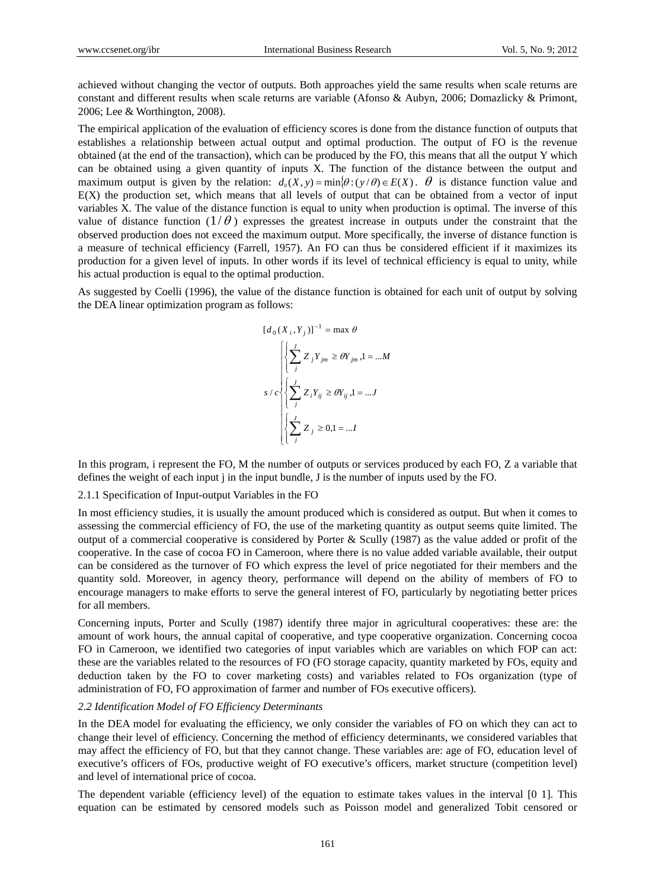achieved without changing the vector of outputs. Both approaches yield the same results when scale returns are constant and different results when scale returns are variable (Afonso & Aubyn, 2006; Domazlicky & Primont, 2006; Lee & Worthington, 2008).

The empirical application of the evaluation of efficiency scores is done from the distance function of outputs that establishes a relationship between actual output and optimal production. The output of FO is the revenue obtained (at the end of the transaction), which can be produced by the FO, this means that all the output Y which can be obtained using a given quantity of inputs X. The function of the distance between the output and maximum output is given by the relation:  $d_0(X, y) = min\{\theta : (y/\theta) \in E(X)$ .  $\theta$  is distance function value and E(X) the production set, which means that all levels of output that can be obtained from a vector of input variables X. The value of the distance function is equal to unity when production is optimal. The inverse of this value of distance function  $(1/\theta)$  expresses the greatest increase in outputs under the constraint that the observed production does not exceed the maximum output. More specifically, the inverse of distance function is a measure of technical efficiency (Farrell, 1957). An FO can thus be considered efficient if it maximizes its production for a given level of inputs. In other words if its level of technical efficiency is equal to unity, while his actual production is equal to the optimal production.

As suggested by Coelli (1996), the value of the distance function is obtained for each unit of output by solving the DEA linear optimization program as follows:

$$
[d_0(X_i, Y_j)]^{-1} = \max \theta
$$
  

$$
s / c \sqrt{\left\{\sum_{j}^{J} Z_j Y_{jm} \geq \theta Y_{jm}, 1 = ... M \right\}}
$$
  

$$
s / c \sqrt{\left\{\sum_{j}^{J} Z_i Y_{ij} \geq \theta Y_{ij}, 1 = ... J \right\}}
$$
  

$$
\left\{\sum_{j}^{J} Z_j \geq 0, 1 = ... I \right\}
$$

In this program, i represent the FO, M the number of outputs or services produced by each FO, Z a variable that defines the weight of each input j in the input bundle, J is the number of inputs used by the FO.

2.1.1 Specification of Input-output Variables in the FO

In most efficiency studies, it is usually the amount produced which is considered as output. But when it comes to assessing the commercial efficiency of FO, the use of the marketing quantity as output seems quite limited. The output of a commercial cooperative is considered by Porter & Scully (1987) as the value added or profit of the cooperative. In the case of cocoa FO in Cameroon, where there is no value added variable available, their output can be considered as the turnover of FO which express the level of price negotiated for their members and the quantity sold. Moreover, in agency theory, performance will depend on the ability of members of FO to encourage managers to make efforts to serve the general interest of FO, particularly by negotiating better prices for all members.

Concerning inputs, Porter and Scully (1987) identify three major in agricultural cooperatives: these are: the amount of work hours, the annual capital of cooperative, and type cooperative organization. Concerning cocoa FO in Cameroon, we identified two categories of input variables which are variables on which FOP can act: these are the variables related to the resources of FO (FO storage capacity, quantity marketed by FOs, equity and deduction taken by the FO to cover marketing costs) and variables related to FOs organization (type of administration of FO, FO approximation of farmer and number of FOs executive officers).

## *2.2 Identification Model of FO Efficiency Determinants*

In the DEA model for evaluating the efficiency, we only consider the variables of FO on which they can act to change their level of efficiency. Concerning the method of efficiency determinants, we considered variables that may affect the efficiency of FO, but that they cannot change. These variables are: age of FO, education level of executive's officers of FOs, productive weight of FO executive's officers, market structure (competition level) and level of international price of cocoa.

The dependent variable (efficiency level) of the equation to estimate takes values in the interval [0 1]. This equation can be estimated by censored models such as Poisson model and generalized Tobit censored or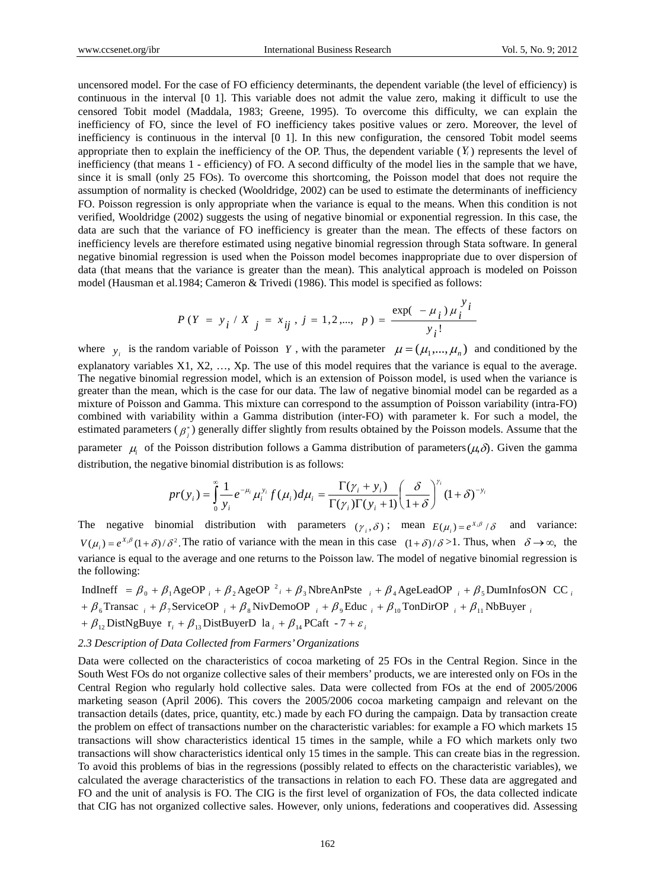uncensored model. For the case of FO efficiency determinants, the dependent variable (the level of efficiency) is continuous in the interval [0 1]. This variable does not admit the value zero, making it difficult to use the censored Tobit model (Maddala, 1983; Greene, 1995). To overcome this difficulty, we can explain the inefficiency of FO, since the level of FO inefficiency takes positive values or zero. Moreover, the level of inefficiency is continuous in the interval [0 1]. In this new configuration, the censored Tobit model seems appropriate then to explain the inefficiency of the OP. Thus, the dependent variable  $(Y_i)$  represents the level of inefficiency (that means 1 - efficiency) of FO. A second difficulty of the model lies in the sample that we have, since it is small (only 25 FOs). To overcome this shortcoming, the Poisson model that does not require the assumption of normality is checked (Wooldridge, 2002) can be used to estimate the determinants of inefficiency FO. Poisson regression is only appropriate when the variance is equal to the means. When this condition is not verified, Wooldridge (2002) suggests the using of negative binomial or exponential regression. In this case, the data are such that the variance of FO inefficiency is greater than the mean. The effects of these factors on inefficiency levels are therefore estimated using negative binomial regression through Stata software. In general negative binomial regression is used when the Poisson model becomes inappropriate due to over dispersion of data (that means that the variance is greater than the mean). This analytical approach is modeled on Poisson model (Hausman et al.1984; Cameron & Trivedi (1986). This model is specified as follows:

$$
P(Y = y_i / X_j = x_{ij}, j = 1, 2, ..., p) = \frac{\exp(-\mu_i)\mu_i^{y_i}}{y_i!}
$$

where  $y_i$  is the random variable of Poisson Y, with the parameter  $\mu = (\mu_1, ..., \mu_n)$  and conditioned by the explanatory variables X1, X2, …, Xp. The use of this model requires that the variance is equal to the average. The negative binomial regression model, which is an extension of Poisson model, is used when the variance is greater than the mean, which is the case for our data. The law of negative binomial model can be regarded as a mixture of Poisson and Gamma. This mixture can correspond to the assumption of Poisson variability (intra-FO) combined with variability within a Gamma distribution (inter-FO) with parameter k. For such a model, the estimated parameters  $(\beta_j^*)$  generally differ slightly from results obtained by the Poisson models. Assume that the parameter  $\mu_i$  of the Poisson distribution follows a Gamma distribution of parameters  $(\mu, \delta)$ . Given the gamma

distribution, the negative binomial distribution is as follows:

$$
pr(y_i) = \int_0^{\infty} \frac{1}{y_i} e^{-\mu_i} \mu_i^{y_i} f(\mu_i) d\mu_i = \frac{\Gamma(\gamma_i + y_i)}{\Gamma(\gamma_i)\Gamma(y_i + 1)} \left(\frac{\delta}{1 + \delta}\right)^{y_i} (1 + \delta)^{-y_i}
$$

The negative binomial distribution with parameters  $(\gamma_i, \delta)$ ; mean  $E(\mu_i) = e^{\chi_i \beta}/\delta$  and variance:  $V(\mu_i) = e^{\chi_i \beta} (1 + \delta) / \delta^2$ . The ratio of variance with the mean in this case  $(1 + \delta) / \delta > 1$ . Thus, when  $\delta \rightarrow \infty$ , the variance is equal to the average and one returns to the Poisson law. The model of negative binomial regression is the following:

IndIneff = 
$$
\beta_0 + \beta_1
$$
AgeOP<sub>i</sub> +  $\beta_2$ AgeOP<sup>2</sup><sub>i</sub> +  $\beta_3$  NbreAnPste<sub>i</sub> +  $\beta_4$  AgeLeader<sub>i</sub> +  $\beta_5$  DumInfosON CC<sub>i</sub>  
+  $\beta_6$ Transac<sub>i</sub> +  $\beta_7$ ServiceOP<sub>i</sub> +  $\beta_8$  NivDemoOP<sub>i</sub> +  $\beta_9$ Educ<sub>i</sub> +  $\beta_{10}$  TonDirOP<sub>i</sub> +  $\beta_{11}$ NbBuyer<sub>i</sub>

+  $\beta_{12}$  DistNgBuye  $r_i$  +  $\beta_{13}$  DistBuyerD la  $_i$  +  $\beta_{14}$  PCaft - 7 +  $\varepsilon_i$ 

#### *2.3 Description of Data Collected from Farmers' Organizations*

Data were collected on the characteristics of cocoa marketing of 25 FOs in the Central Region. Since in the South West FOs do not organize collective sales of their members' products, we are interested only on FOs in the Central Region who regularly hold collective sales. Data were collected from FOs at the end of 2005/2006 marketing season (April 2006). This covers the 2005/2006 cocoa marketing campaign and relevant on the transaction details (dates, price, quantity, etc.) made by each FO during the campaign. Data by transaction create the problem on effect of transactions number on the characteristic variables: for example a FO which markets 15 transactions will show characteristics identical 15 times in the sample, while a FO which markets only two transactions will show characteristics identical only 15 times in the sample. This can create bias in the regression. To avoid this problems of bias in the regressions (possibly related to effects on the characteristic variables), we calculated the average characteristics of the transactions in relation to each FO. These data are aggregated and FO and the unit of analysis is FO. The CIG is the first level of organization of FOs, the data collected indicate that CIG has not organized collective sales. However, only unions, federations and cooperatives did. Assessing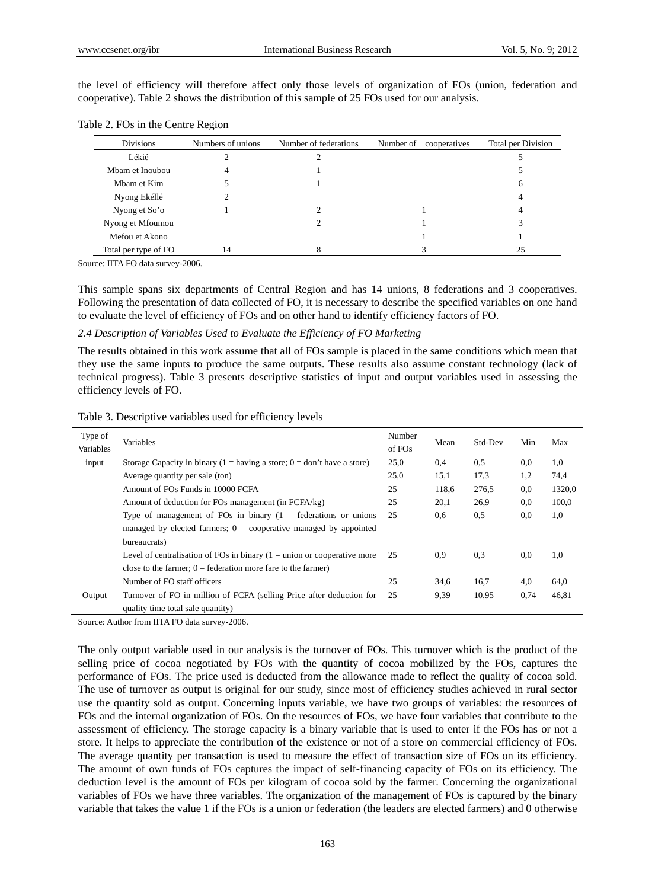|  |  |  |  |  | the level of efficiency will therefore affect only those levels of organization of FOs (union, federation and |  |  |  |
|--|--|--|--|--|---------------------------------------------------------------------------------------------------------------|--|--|--|
|  |  |  |  |  | cooperative). Table 2 shows the distribution of this sample of 25 FOs used for our analysis.                  |  |  |  |

| <b>Divisions</b>     | Numbers of unions | Number of federations | Number of<br>cooperatives | Total per Division |
|----------------------|-------------------|-----------------------|---------------------------|--------------------|
| Lékié                |                   |                       |                           |                    |
| Mbam et Inoubou      |                   |                       |                           |                    |
| Mbam et Kim          |                   |                       |                           | h                  |
| Nyong Ekéllé         |                   |                       |                           |                    |
| Nyong et So'o        |                   |                       |                           | 4                  |
| Nyong et Mfoumou     |                   |                       |                           |                    |
| Mefou et Akono       |                   |                       |                           |                    |
| Total per type of FO | 14                |                       |                           | 25                 |

### Table 2. FOs in the Centre Region

Source: IITA FO data survey-2006.

This sample spans six departments of Central Region and has 14 unions, 8 federations and 3 cooperatives. Following the presentation of data collected of FO, it is necessary to describe the specified variables on one hand to evaluate the level of efficiency of FOs and on other hand to identify efficiency factors of FO.

#### *2.4 Description of Variables Used to Evaluate the Efficiency of FO Marketing*

The results obtained in this work assume that all of FOs sample is placed in the same conditions which mean that they use the same inputs to produce the same outputs. These results also assume constant technology (lack of technical progress). Table 3 presents descriptive statistics of input and output variables used in assessing the efficiency levels of FO.

|  | Table 3. Descriptive variables used for efficiency levels |  |  |
|--|-----------------------------------------------------------|--|--|
|  |                                                           |  |  |

| Type of<br>Variables | Variables                                                                         | Number<br>of FO <sub>s</sub> | Mean  | Std-Dev | Min  | Max    |
|----------------------|-----------------------------------------------------------------------------------|------------------------------|-------|---------|------|--------|
| input                | Storage Capacity in binary (1 = having a store; $0 = don't$ have a store)         | 25,0                         | 0,4   | 0.5     | 0,0  | 1,0    |
|                      | Average quantity per sale (ton)                                                   | 25,0                         | 15,1  | 17,3    | 1,2  | 74,4   |
|                      | Amount of FOs Funds in 10000 FCFA                                                 | 25                           | 118.6 | 276,5   | 0.0  | 1320,0 |
|                      | Amount of deduction for FOs management (in FCFA/kg)                               | 25                           | 20.1  | 26,9    | 0,0  | 100,0  |
|                      | Type of management of FOs in binary $(1 =$ federations or unions                  | 25                           | 0.6   | 0,5     | 0,0  | 1,0    |
|                      | managed by elected farmers; $0 =$ cooperative managed by appointed                |                              |       |         |      |        |
|                      | bureaucrats)                                                                      |                              |       |         |      |        |
|                      | Level of centralisation of FOs in binary $(1 = \text{union or cooperative more})$ | 25                           | 0.9   | 0.3     | 0,0  | 1,0    |
|                      | close to the farmer; $0 =$ federation more fare to the farmer)                    |                              |       |         |      |        |
|                      | Number of FO staff officers                                                       | 25                           | 34,6  | 16,7    | 4,0  | 64,0   |
| Output               | Turnover of FO in million of FCFA (selling Price after deduction for              | 25                           | 9,39  | 10,95   | 0,74 | 46,81  |
|                      | quality time total sale quantity)                                                 |                              |       |         |      |        |

Source: Author from IITA FO data survey-2006.

The only output variable used in our analysis is the turnover of FOs. This turnover which is the product of the selling price of cocoa negotiated by FOs with the quantity of cocoa mobilized by the FOs, captures the performance of FOs. The price used is deducted from the allowance made to reflect the quality of cocoa sold. The use of turnover as output is original for our study, since most of efficiency studies achieved in rural sector use the quantity sold as output. Concerning inputs variable, we have two groups of variables: the resources of FOs and the internal organization of FOs. On the resources of FOs, we have four variables that contribute to the assessment of efficiency. The storage capacity is a binary variable that is used to enter if the FOs has or not a store. It helps to appreciate the contribution of the existence or not of a store on commercial efficiency of FOs. The average quantity per transaction is used to measure the effect of transaction size of FOs on its efficiency. The amount of own funds of FOs captures the impact of self-financing capacity of FOs on its efficiency. The deduction level is the amount of FOs per kilogram of cocoa sold by the farmer. Concerning the organizational variables of FOs we have three variables. The organization of the management of FOs is captured by the binary variable that takes the value 1 if the FOs is a union or federation (the leaders are elected farmers) and 0 otherwise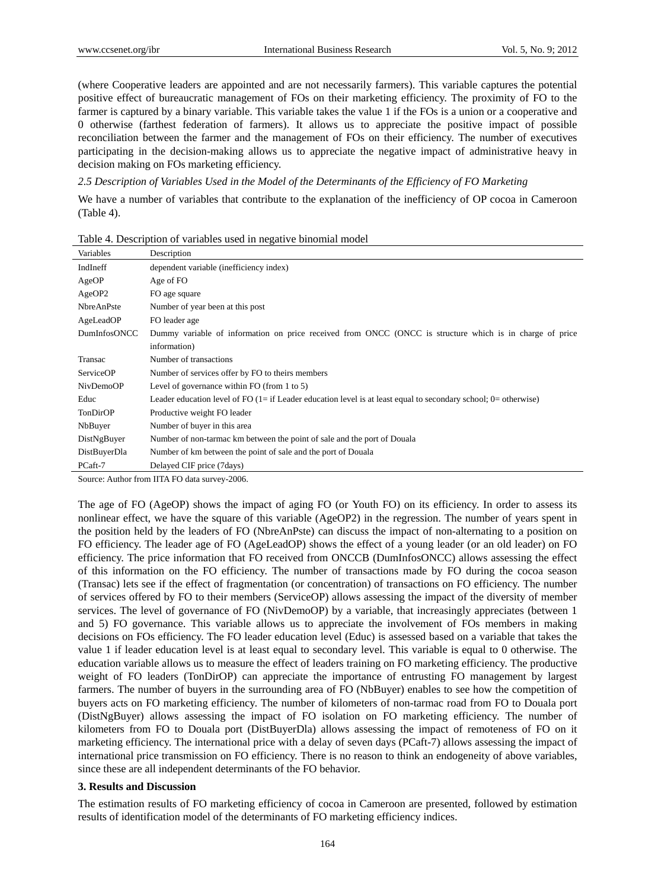(where Cooperative leaders are appointed and are not necessarily farmers). This variable captures the potential positive effect of bureaucratic management of FOs on their marketing efficiency. The proximity of FO to the farmer is captured by a binary variable. This variable takes the value 1 if the FOs is a union or a cooperative and 0 otherwise (farthest federation of farmers). It allows us to appreciate the positive impact of possible reconciliation between the farmer and the management of FOs on their efficiency. The number of executives participating in the decision-making allows us to appreciate the negative impact of administrative heavy in decision making on FOs marketing efficiency.

*2.5 Description of Variables Used in the Model of the Determinants of the Efficiency of FO Marketing* 

We have a number of variables that contribute to the explanation of the inefficiency of OP cocoa in Cameroon (Table 4).

| Variables           | Description                                                                                                           |
|---------------------|-----------------------------------------------------------------------------------------------------------------------|
| IndIneff            | dependent variable (inefficiency index)                                                                               |
| AgeOP               | Age of FO                                                                                                             |
| AgeOP2              | FO age square                                                                                                         |
| NbreAnPste          | Number of year been at this post                                                                                      |
| AgeLeadOP           | FO leader age                                                                                                         |
| <b>DumInfosONCC</b> | Dummy variable of information on price received from ONCC (ONCC is structure which is in charge of price              |
|                     | information)                                                                                                          |
| Transac             | Number of transactions                                                                                                |
| <b>ServiceOP</b>    | Number of services offer by FO to theirs members                                                                      |
| <b>NivDemoOP</b>    | Level of governance within FO (from 1 to 5)                                                                           |
| Educ                | Leader education level of FO $(1 = if$ Leader education level is at least equal to secondary school; $0 =$ otherwise) |
| TonDirOP            | Productive weight FO leader                                                                                           |
| NbBuyer             | Number of buyer in this area                                                                                          |
| DistNgBuyer         | Number of non-tarmac km between the point of sale and the port of Douala                                              |
| DistBuyerDla        | Number of km between the point of sale and the port of Douala                                                         |
| PCaft-7             | Delayed CIF price (7days)                                                                                             |

Table 4. Description of variables used in negative binomial model

Source: Author from IITA FO data survey-2006.

The age of FO (AgeOP) shows the impact of aging FO (or Youth FO) on its efficiency. In order to assess its nonlinear effect, we have the square of this variable (AgeOP2) in the regression. The number of years spent in the position held by the leaders of FO (NbreAnPste) can discuss the impact of non-alternating to a position on FO efficiency. The leader age of FO (AgeLeadOP) shows the effect of a young leader (or an old leader) on FO efficiency. The price information that FO received from ONCCB (DumInfosONCC) allows assessing the effect of this information on the FO efficiency. The number of transactions made by FO during the cocoa season (Transac) lets see if the effect of fragmentation (or concentration) of transactions on FO efficiency. The number of services offered by FO to their members (ServiceOP) allows assessing the impact of the diversity of member services. The level of governance of FO (NivDemoOP) by a variable, that increasingly appreciates (between 1 and 5) FO governance. This variable allows us to appreciate the involvement of FOs members in making decisions on FOs efficiency. The FO leader education level (Educ) is assessed based on a variable that takes the value 1 if leader education level is at least equal to secondary level. This variable is equal to 0 otherwise. The education variable allows us to measure the effect of leaders training on FO marketing efficiency. The productive weight of FO leaders (TonDirOP) can appreciate the importance of entrusting FO management by largest farmers. The number of buyers in the surrounding area of FO (NbBuyer) enables to see how the competition of buyers acts on FO marketing efficiency. The number of kilometers of non-tarmac road from FO to Douala port (DistNgBuyer) allows assessing the impact of FO isolation on FO marketing efficiency. The number of kilometers from FO to Douala port (DistBuyerDla) allows assessing the impact of remoteness of FO on it marketing efficiency. The international price with a delay of seven days (PCaft-7) allows assessing the impact of international price transmission on FO efficiency. There is no reason to think an endogeneity of above variables, since these are all independent determinants of the FO behavior.

# **3. Results and Discussion**

The estimation results of FO marketing efficiency of cocoa in Cameroon are presented, followed by estimation results of identification model of the determinants of FO marketing efficiency indices.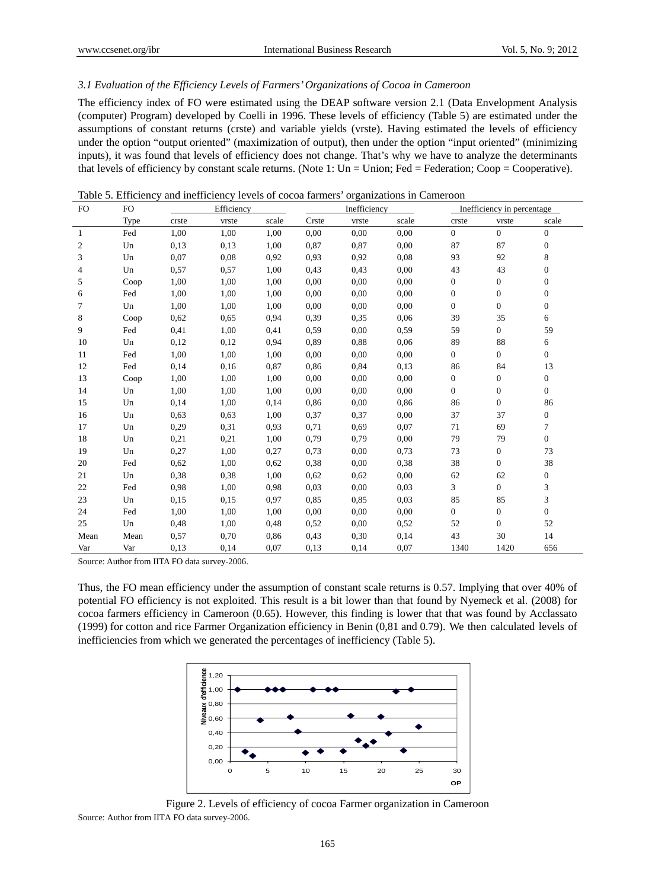#### *3.1 Evaluation of the Efficiency Levels of Farmers' Organizations of Cocoa in Cameroon*

The efficiency index of FO were estimated using the DEAP software version 2.1 (Data Envelopment Analysis (computer) Program) developed by Coelli in 1996. These levels of efficiency (Table 5) are estimated under the assumptions of constant returns (crste) and variable yields (vrste). Having estimated the levels of efficiency under the option "output oriented" (maximization of output), then under the option "input oriented" (minimizing inputs), it was found that levels of efficiency does not change. That's why we have to analyze the determinants that levels of efficiency by constant scale returns. (Note 1:  $Un = Union$ ; Fed = Federation; Coop = Cooperative).

|  | Table 5. Efficiency and inefficiency levels of cocoa farmers' organizations in Cameroon |  |
|--|-----------------------------------------------------------------------------------------|--|
|  |                                                                                         |  |

| <b>FO</b>      | FO   |       | Efficiency |       |       | Inefficiency |       |                  | Inefficiency in percentage |                  |
|----------------|------|-------|------------|-------|-------|--------------|-------|------------------|----------------------------|------------------|
|                | Type | crste | vrste      | scale | Crste | vrste        | scale | crste            | vrste                      | scale            |
| 1              | Fed  | 1,00  | 1,00       | 1,00  | 0.00  | 0,00         | 0,00  | $\mathbf{0}$     | $\mathbf{0}$               | $\mathbf{0}$     |
| $\mathfrak{2}$ | Un   | 0,13  | 0,13       | 1,00  | 0,87  | 0,87         | 0,00  | 87               | 87                         | 0                |
| 3              | Un   | 0.07  | 0.08       | 0,92  | 0.93  | 0,92         | 0.08  | 93               | 92                         | 8                |
| 4              | Un   | 0,57  | 0,57       | 1,00  | 0.43  | 0.43         | 0,00  | 43               | 43                         | $\boldsymbol{0}$ |
| 5              | Coop | 1,00  | 1,00       | 1,00  | 0.00  | 0,00         | 0,00  | $\boldsymbol{0}$ | $\mathbf{0}$               | $\boldsymbol{0}$ |
| 6              | Fed  | 1,00  | 1,00       | 1,00  | 0.00  | 0,00         | 0,00  | $\mathbf{0}$     | $\boldsymbol{0}$           | 0                |
| 7              | Un   | 1,00  | 1,00       | 1,00  | 0.00  | 0,00         | 0,00  | $\mathbf{0}$     | $\mathbf{0}$               | $\boldsymbol{0}$ |
| 8              | Coop | 0.62  | 0,65       | 0.94  | 0.39  | 0,35         | 0,06  | 39               | 35                         | 6                |
| 9              | Fed  | 0,41  | 1,00       | 0,41  | 0.59  | 0,00         | 0,59  | 59               | $\mathbf{0}$               | 59               |
| 10             | Un   | 0.12  | 0,12       | 0,94  | 0.89  | 0,88         | 0,06  | 89               | 88                         | 6                |
| 11             | Fed  | 1,00  | 1,00       | 1,00  | 0.00  | 0,00         | 0,00  | $\overline{0}$   | $\mathbf{0}$               | $\mathbf{0}$     |
| 12             | Fed  | 0.14  | 0,16       | 0,87  | 0.86  | 0,84         | 0,13  | 86               | 84                         | 13               |
| 13             | Coop | 1,00  | 1,00       | 1,00  | 0.00  | 0,00         | 0,00  | $\boldsymbol{0}$ | $\mathbf{0}$               | $\mathbf{0}$     |
| 14             | Un   | 1,00  | 1,00       | 1,00  | 0,00  | 0,00         | 0,00  | $\mathbf{0}$     | $\mathbf{0}$               | $\overline{0}$   |
| 15             | Un   | 0.14  | 1,00       | 0,14  | 0.86  | 0,00         | 0,86  | 86               | $\mathbf{0}$               | 86               |
| 16             | Un   | 0,63  | 0,63       | 1,00  | 0,37  | 0,37         | 0,00  | 37               | 37                         | $\mathbf{0}$     |
| 17             | Un   | 0,29  | 0,31       | 0,93  | 0.71  | 0.69         | 0,07  | 71               | 69                         | $\tau$           |
| 18             | Un   | 0,21  | 0,21       | 1,00  | 0.79  | 0.79         | 0,00  | 79               | 79                         | $\overline{0}$   |
| 19             | Un   | 0,27  | 1,00       | 0,27  | 0,73  | 0,00         | 0,73  | 73               | $\mathbf{0}$               | 73               |
| 20             | Fed  | 0.62  | 1,00       | 0,62  | 0.38  | 0.00         | 0,38  | 38               | $\mathbf{0}$               | 38               |
| 21             | Un   | 0,38  | 0.38       | 1,00  | 0.62  | 0,62         | 0,00  | 62               | 62                         | $\mathbf{0}$     |
| 22             | Fed  | 0.98  | 1,00       | 0,98  | 0.03  | 0,00         | 0,03  | 3                | $\mathbf{0}$               | 3                |
| 23             | Un   | 0.15  | 0,15       | 0,97  | 0.85  | 0.85         | 0,03  | 85               | 85                         | 3                |
| 24             | Fed  | 1,00  | 1,00       | 1,00  | 0.00  | 0,00         | 0,00  | $\boldsymbol{0}$ | $\mathbf{0}$               | $\overline{0}$   |
| 25             | Un   | 0,48  | 1,00       | 0,48  | 0.52  | 0,00         | 0,52  | 52               | $\mathbf{0}$               | 52               |
| ${\bf Mean}$   | Mean | 0,57  | 0.70       | 0,86  | 0.43  | 0,30         | 0,14  | 43               | 30                         | 14               |
| Var            | Var  | 0,13  | 0.14       | 0.07  | 0,13  | 0,14         | 0,07  | 1340             | 1420                       | 656              |

Source: Author from IITA FO data survey-2006.

Thus, the FO mean efficiency under the assumption of constant scale returns is 0.57. Implying that over 40% of potential FO efficiency is not exploited. This result is a bit lower than that found by Nyemeck et al. (2008) for cocoa farmers efficiency in Cameroon (0.65). However, this finding is lower that that was found by Acclassato (1999) for cotton and rice Farmer Organization efficiency in Benin (0,81 and 0.79). We then calculated levels of inefficiencies from which we generated the percentages of inefficiency (Table 5).



Figure 2. Levels of efficiency of cocoa Farmer organization in Cameroon Source: Author from IITA FO data survey-2006.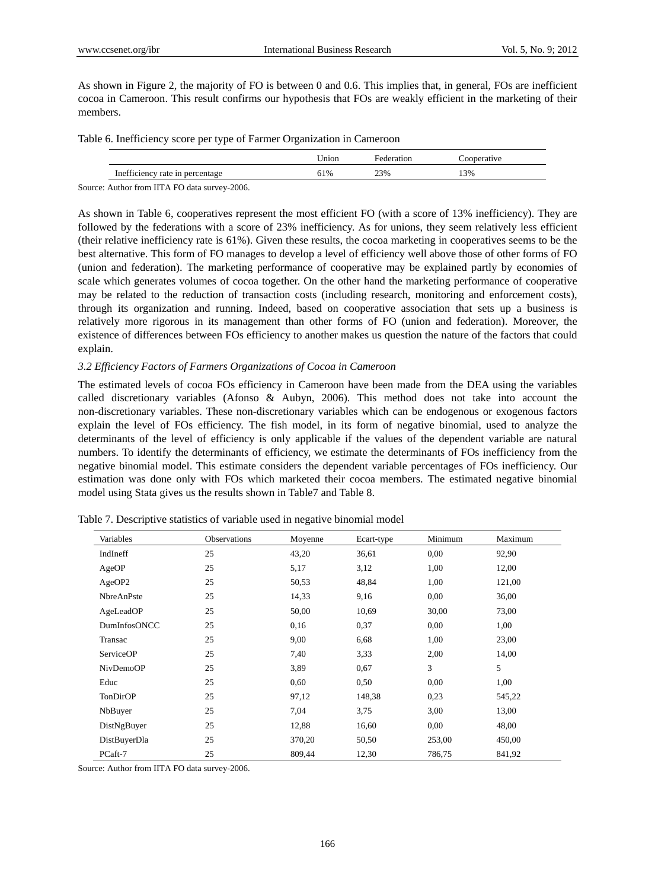As shown in Figure 2, the majority of FO is between 0 and 0.6. This implies that, in general, FOs are inefficient cocoa in Cameroon. This result confirms our hypothesis that FOs are weakly efficient in the marketing of their members.

Table 6. Inefficiency score per type of Farmer Organization in Cameroon

|                                                | - -<br>Jn10n | 101 |     |
|------------------------------------------------|--------------|-----|-----|
| $\sim$<br>lne<br>torc<br>… ne∾<br>rate<br>-116 | 10<br>$\sim$ | 23% | 13% |

Source: Author from IITA FO data survey-2006.

As shown in Table 6, cooperatives represent the most efficient FO (with a score of 13% inefficiency). They are followed by the federations with a score of 23% inefficiency. As for unions, they seem relatively less efficient (their relative inefficiency rate is 61%). Given these results, the cocoa marketing in cooperatives seems to be the best alternative. This form of FO manages to develop a level of efficiency well above those of other forms of FO (union and federation). The marketing performance of cooperative may be explained partly by economies of scale which generates volumes of cocoa together. On the other hand the marketing performance of cooperative may be related to the reduction of transaction costs (including research, monitoring and enforcement costs), through its organization and running. Indeed, based on cooperative association that sets up a business is relatively more rigorous in its management than other forms of FO (union and federation). Moreover, the existence of differences between FOs efficiency to another makes us question the nature of the factors that could explain.

## *3.2 Efficiency Factors of Farmers Organizations of Cocoa in Cameroon*

The estimated levels of cocoa FOs efficiency in Cameroon have been made from the DEA using the variables called discretionary variables (Afonso & Aubyn, 2006). This method does not take into account the non-discretionary variables. These non-discretionary variables which can be endogenous or exogenous factors explain the level of FOs efficiency. The fish model, in its form of negative binomial, used to analyze the determinants of the level of efficiency is only applicable if the values of the dependent variable are natural numbers. To identify the determinants of efficiency, we estimate the determinants of FOs inefficiency from the negative binomial model. This estimate considers the dependent variable percentages of FOs inefficiency. Our estimation was done only with FOs which marketed their cocoa members. The estimated negative binomial model using Stata gives us the results shown in Table7 and Table 8.

| Variables    | <b>Observations</b> | Moyenne | Ecart-type | Minimum | Maximum |
|--------------|---------------------|---------|------------|---------|---------|
| IndIneff     | 25                  | 43,20   | 36,61      | 0.00    | 92,90   |
| AgeOP        | 25                  | 5,17    | 3,12       | 1,00    | 12,00   |
| AgeOP2       | 25                  | 50,53   | 48,84      | 1,00    | 121,00  |
| NbreAnPste   | 25                  | 14,33   | 9,16       | 0,00    | 36,00   |
| AgeLeadOP    | 25                  | 50,00   | 10.69      | 30,00   | 73,00   |
| DumInfosONCC | 25                  | 0,16    | 0,37       | 0,00    | 1,00    |
| Transac      | 25                  | 9,00    | 6,68       | 1,00    | 23,00   |
| ServiceOP    | 25                  | 7,40    | 3.33       | 2,00    | 14,00   |
| NivDemoOP    | 25                  | 3,89    | 0.67       | 3       | 5       |
| Educ         | 25                  | 0.60    | 0,50       | 0.00    | 1,00    |
| TonDirOP     | 25                  | 97,12   | 148,38     | 0,23    | 545,22  |
| NbBuyer      | 25                  | 7,04    | 3,75       | 3,00    | 13,00   |
| DistNgBuyer  | 25                  | 12,88   | 16,60      | 0,00    | 48,00   |
| DistBuyerDla | 25                  | 370,20  | 50,50      | 253,00  | 450,00  |
| PCaft-7      | 25                  | 809,44  | 12,30      | 786,75  | 841,92  |

|  |  |  |  | Table 7. Descriptive statistics of variable used in negative binomial model |  |
|--|--|--|--|-----------------------------------------------------------------------------|--|
|  |  |  |  |                                                                             |  |

Source: Author from IITA FO data survey-2006.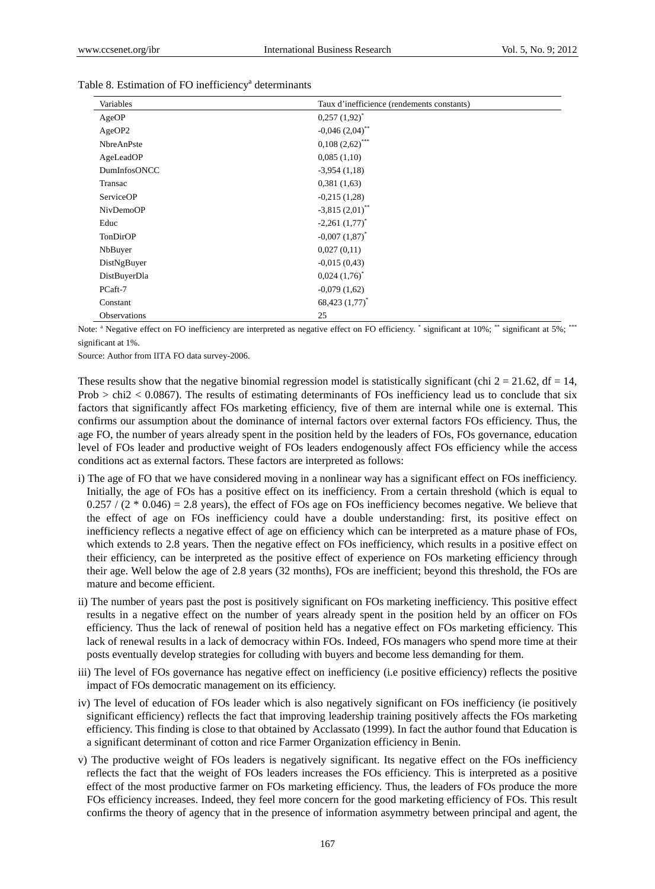| Variables    | Taux d'inefficience (rendements constants) |
|--------------|--------------------------------------------|
| AgeOP        | $0,257(1,92)^{*}$                          |
| AgeOP2       | $-0,046(2,04)$ **                          |
| NbreAnPste   | $0,108(2,62)$ ***                          |
| AgeLeadOP    | 0,085(1,10)                                |
| DumInfosONCC | $-3,954(1,18)$                             |
| Transac      | 0,381(1,63)                                |
| ServiceOP    | $-0,215(1,28)$                             |
| NivDemoOP    | $-3,815(2,01)$ <sup>**</sup>               |
| Educ         | $-2,261(1,77)^*$                           |
| TonDirOP     | $-0,007(1,87)^*$                           |
| NbBuyer      | 0,027(0,11)                                |
| DistNgBuyer  | $-0.015(0.43)$                             |
| DistBuyerDla | $0,024(1,76)^*$                            |
| PCaft-7      | $-0,079(1,62)$                             |
| Constant     | 68,423 $(1,77)^*$                          |
| Observations | 25                                         |

|  | Table 8. Estimation of FO inefficiency <sup>a</sup> determinants |
|--|------------------------------------------------------------------|
|--|------------------------------------------------------------------|

Note: <sup>a</sup> Negative effect on FO inefficiency are interpreted as negative effect on FO efficiency.  $*$  significant at 10%;  $**$  significant at 5%; \*\*\* significant at 1%.

Source: Author from IITA FO data survey-2006.

These results show that the negative binomial regression model is statistically significant (chi  $2 = 21.62$ , df = 14, Prob > chi2 < 0.0867). The results of estimating determinants of FOs inefficiency lead us to conclude that six factors that significantly affect FOs marketing efficiency, five of them are internal while one is external. This confirms our assumption about the dominance of internal factors over external factors FOs efficiency. Thus, the age FO, the number of years already spent in the position held by the leaders of FOs, FOs governance, education level of FOs leader and productive weight of FOs leaders endogenously affect FOs efficiency while the access conditions act as external factors. These factors are interpreted as follows:

- i) The age of FO that we have considered moving in a nonlinear way has a significant effect on FOs inefficiency. Initially, the age of FOs has a positive effect on its inefficiency. From a certain threshold (which is equal to  $0.257 / (2 * 0.046) = 2.8$  years), the effect of FOs age on FOs inefficiency becomes negative. We believe that the effect of age on FOs inefficiency could have a double understanding: first, its positive effect on inefficiency reflects a negative effect of age on efficiency which can be interpreted as a mature phase of FOs, which extends to 2.8 years. Then the negative effect on FOs inefficiency, which results in a positive effect on their efficiency, can be interpreted as the positive effect of experience on FOs marketing efficiency through their age. Well below the age of 2.8 years (32 months), FOs are inefficient; beyond this threshold, the FOs are mature and become efficient.
- ii) The number of years past the post is positively significant on FOs marketing inefficiency. This positive effect results in a negative effect on the number of years already spent in the position held by an officer on FOs efficiency. Thus the lack of renewal of position held has a negative effect on FOs marketing efficiency. This lack of renewal results in a lack of democracy within FOs. Indeed, FOs managers who spend more time at their posts eventually develop strategies for colluding with buyers and become less demanding for them.
- iii) The level of FOs governance has negative effect on inefficiency (i.e positive efficiency) reflects the positive impact of FOs democratic management on its efficiency.
- iv) The level of education of FOs leader which is also negatively significant on FOs inefficiency (ie positively significant efficiency) reflects the fact that improving leadership training positively affects the FOs marketing efficiency. This finding is close to that obtained by Acclassato (1999). In fact the author found that Education is a significant determinant of cotton and rice Farmer Organization efficiency in Benin.
- v) The productive weight of FOs leaders is negatively significant. Its negative effect on the FOs inefficiency reflects the fact that the weight of FOs leaders increases the FOs efficiency. This is interpreted as a positive effect of the most productive farmer on FOs marketing efficiency. Thus, the leaders of FOs produce the more FOs efficiency increases. Indeed, they feel more concern for the good marketing efficiency of FOs. This result confirms the theory of agency that in the presence of information asymmetry between principal and agent, the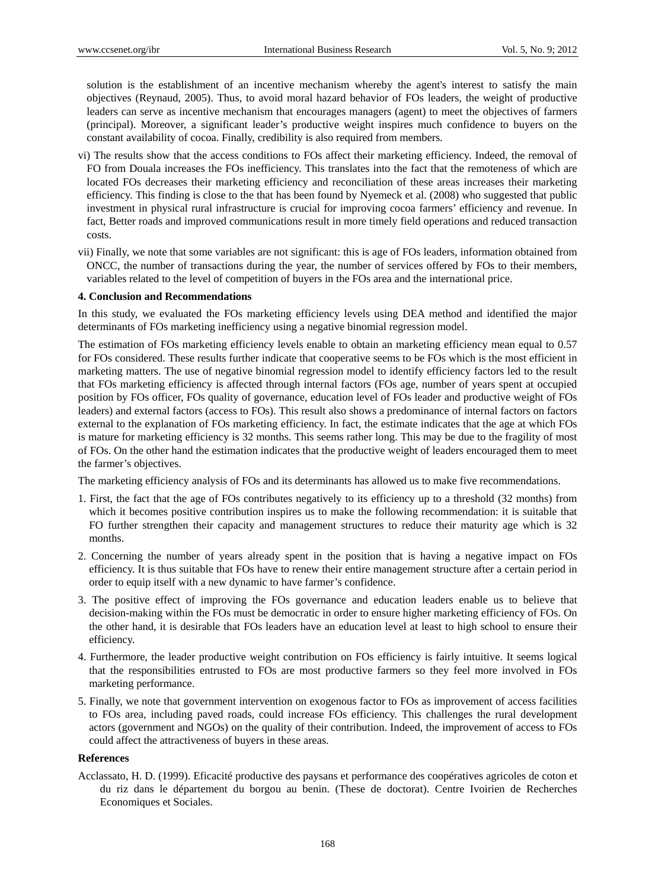solution is the establishment of an incentive mechanism whereby the agent's interest to satisfy the main objectives (Reynaud, 2005). Thus, to avoid moral hazard behavior of FOs leaders, the weight of productive leaders can serve as incentive mechanism that encourages managers (agent) to meet the objectives of farmers (principal). Moreover, a significant leader's productive weight inspires much confidence to buyers on the constant availability of cocoa. Finally, credibility is also required from members.

- vi) The results show that the access conditions to FOs affect their marketing efficiency. Indeed, the removal of FO from Douala increases the FOs inefficiency. This translates into the fact that the remoteness of which are located FOs decreases their marketing efficiency and reconciliation of these areas increases their marketing efficiency. This finding is close to the that has been found by Nyemeck et al. (2008) who suggested that public investment in physical rural infrastructure is crucial for improving cocoa farmers' efficiency and revenue. In fact, Better roads and improved communications result in more timely field operations and reduced transaction costs.
- vii) Finally, we note that some variables are not significant: this is age of FOs leaders, information obtained from ONCC, the number of transactions during the year, the number of services offered by FOs to their members, variables related to the level of competition of buyers in the FOs area and the international price.

#### **4. Conclusion and Recommendations**

In this study, we evaluated the FOs marketing efficiency levels using DEA method and identified the major determinants of FOs marketing inefficiency using a negative binomial regression model.

The estimation of FOs marketing efficiency levels enable to obtain an marketing efficiency mean equal to 0.57 for FOs considered. These results further indicate that cooperative seems to be FOs which is the most efficient in marketing matters. The use of negative binomial regression model to identify efficiency factors led to the result that FOs marketing efficiency is affected through internal factors (FOs age, number of years spent at occupied position by FOs officer, FOs quality of governance, education level of FOs leader and productive weight of FOs leaders) and external factors (access to FOs). This result also shows a predominance of internal factors on factors external to the explanation of FOs marketing efficiency. In fact, the estimate indicates that the age at which FOs is mature for marketing efficiency is 32 months. This seems rather long. This may be due to the fragility of most of FOs. On the other hand the estimation indicates that the productive weight of leaders encouraged them to meet the farmer's objectives.

The marketing efficiency analysis of FOs and its determinants has allowed us to make five recommendations.

- 1. First, the fact that the age of FOs contributes negatively to its efficiency up to a threshold (32 months) from which it becomes positive contribution inspires us to make the following recommendation: it is suitable that FO further strengthen their capacity and management structures to reduce their maturity age which is 32 months.
- 2. Concerning the number of years already spent in the position that is having a negative impact on FOs efficiency. It is thus suitable that FOs have to renew their entire management structure after a certain period in order to equip itself with a new dynamic to have farmer's confidence.
- 3. The positive effect of improving the FOs governance and education leaders enable us to believe that decision-making within the FOs must be democratic in order to ensure higher marketing efficiency of FOs. On the other hand, it is desirable that FOs leaders have an education level at least to high school to ensure their efficiency.
- 4. Furthermore, the leader productive weight contribution on FOs efficiency is fairly intuitive. It seems logical that the responsibilities entrusted to FOs are most productive farmers so they feel more involved in FOs marketing performance.
- 5. Finally, we note that government intervention on exogenous factor to FOs as improvement of access facilities to FOs area, including paved roads, could increase FOs efficiency. This challenges the rural development actors (government and NGOs) on the quality of their contribution. Indeed, the improvement of access to FOs could affect the attractiveness of buyers in these areas.

#### **References**

Acclassato, H. D. (1999). Eficacité productive des paysans et performance des coopératives agricoles de coton et du riz dans le département du borgou au benin. (These de doctorat). Centre Ivoirien de Recherches Economiques et Sociales.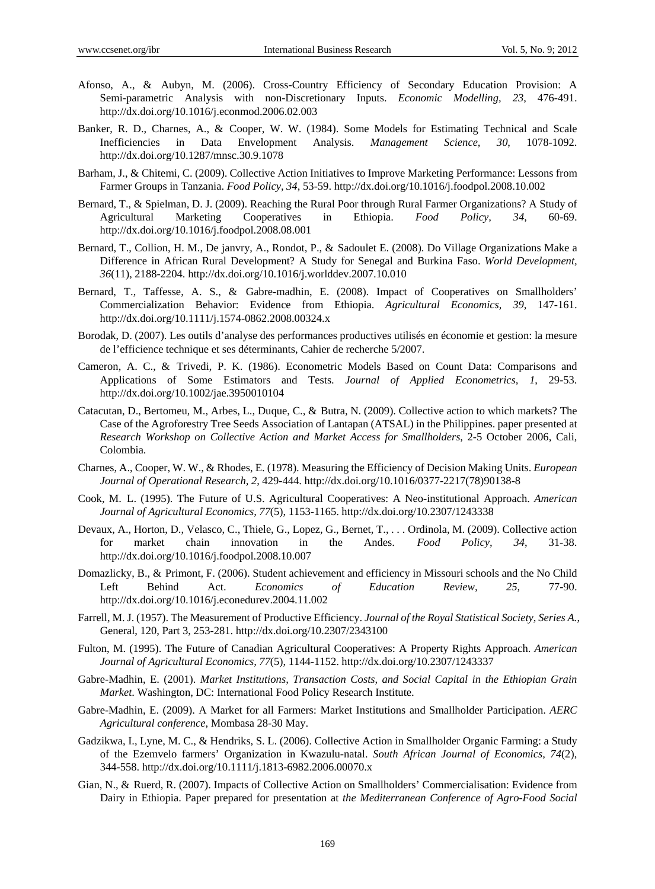- Afonso, A., & Aubyn, M. (2006). Cross-Country Efficiency of Secondary Education Provision: A Semi-parametric Analysis with non-Discretionary Inputs. *Economic Modelling, 23*, 476-491. http://dx.doi.org/10.1016/j.econmod.2006.02.003
- Banker, R. D., Charnes, A., & Cooper, W. W. (1984). Some Models for Estimating Technical and Scale Inefficiencies in Data Envelopment Analysis. *Management Science, 30*, 1078-1092. http://dx.doi.org/10.1287/mnsc.30.9.1078
- Barham, J., & Chitemi, C. (2009). Collective Action Initiatives to Improve Marketing Performance: Lessons from Farmer Groups in Tanzania. *Food Policy, 34*, 53-59. http://dx.doi.org/10.1016/j.foodpol.2008.10.002
- Bernard, T., & Spielman, D. J. (2009). Reaching the Rural Poor through Rural Farmer Organizations? A Study of Agricultural Marketing Cooperatives in Ethiopia. *Food Policy, 34*, 60-69. http://dx.doi.org/10.1016/j.foodpol.2008.08.001
- Bernard, T., Collion, H. M., De janvry, A., Rondot, P., & Sadoulet E. (2008). Do Village Organizations Make a Difference in African Rural Development? A Study for Senegal and Burkina Faso. *World Development, 36*(11), 2188-2204. http://dx.doi.org/10.1016/j.worlddev.2007.10.010
- Bernard, T., Taffesse, A. S., & Gabre-madhin, E. (2008). Impact of Cooperatives on Smallholders' Commercialization Behavior: Evidence from Ethiopia. *Agricultural Economics, 39*, 147-161. http://dx.doi.org/10.1111/j.1574-0862.2008.00324.x
- Borodak, D. (2007). Les outils d'analyse des performances productives utilisés en économie et gestion: la mesure de l'efficience technique et ses déterminants, Cahier de recherche 5/2007.
- Cameron, A. C., & Trivedi, P. K. (1986). Econometric Models Based on Count Data: Comparisons and Applications of Some Estimators and Tests. *Journal of Applied Econometrics, 1*, 29-53. http://dx.doi.org/10.1002/jae.3950010104
- Catacutan, D., Bertomeu, M., Arbes, L., Duque, C., & Butra, N. (2009). Collective action to which markets? The Case of the Agroforestry Tree Seeds Association of Lantapan (ATSAL) in the Philippines. paper presented at *Research Workshop on Collective Action and Market Access for Smallholders*, 2-5 October 2006, Cali, Colombia.
- Charnes, A., Cooper, W. W., & Rhodes, E. (1978). Measuring the Efficiency of Decision Making Units. *European Journal of Operational Research, 2*, 429-444. http://dx.doi.org/10.1016/0377-2217(78)90138-8
- Cook, M. L. (1995). The Future of U.S. Agricultural Cooperatives: A Neo-institutional Approach. *American Journal of Agricultural Economics, 77*(5), 1153-1165. http://dx.doi.org/10.2307/1243338
- Devaux, A., Horton, D., Velasco, C., Thiele, G., Lopez, G., Bernet, T., . . . Ordinola, M. (2009). Collective action for market chain innovation in the Andes. *Food Policy, 34*, 31-38. http://dx.doi.org/10.1016/j.foodpol.2008.10.007
- Domazlicky, B., & Primont, F. (2006). Student achievement and efficiency in Missouri schools and the No Child Left Behind Act. *Economics of Education Review, 25*, 77-90. http://dx.doi.org/10.1016/j.econedurev.2004.11.002
- Farrell, M. J. (1957). The Measurement of Productive Efficiency. *Journal of the Royal Statistical Society, Series A.*, General, 120, Part 3, 253-281. http://dx.doi.org/10.2307/2343100
- Fulton, M. (1995). The Future of Canadian Agricultural Cooperatives: A Property Rights Approach. *American Journal of Agricultural Economics, 77*(5), 1144-1152. http://dx.doi.org/10.2307/1243337
- Gabre-Madhin, E. (2001). *Market Institutions, Transaction Costs, and Social Capital in the Ethiopian Grain Market*. Washington, DC: International Food Policy Research Institute.
- Gabre-Madhin, E. (2009). A Market for all Farmers: Market Institutions and Smallholder Participation. *AERC Agricultural conference*, Mombasa 28-30 May.
- Gadzikwa, I., Lyne, M. C., & Hendriks, S. L. (2006). Collective Action in Smallholder Organic Farming: a Study of the Ezemvelo farmers' Organization in Kwazulu-natal. *South African Journal of Economics, 74*(2), 344-558. http://dx.doi.org/10.1111/j.1813-6982.2006.00070.x
- Gian, N., & Ruerd, R. (2007). Impacts of Collective Action on Smallholders' Commercialisation: Evidence from Dairy in Ethiopia. Paper prepared for presentation at *the Mediterranean Conference of Agro-Food Social*